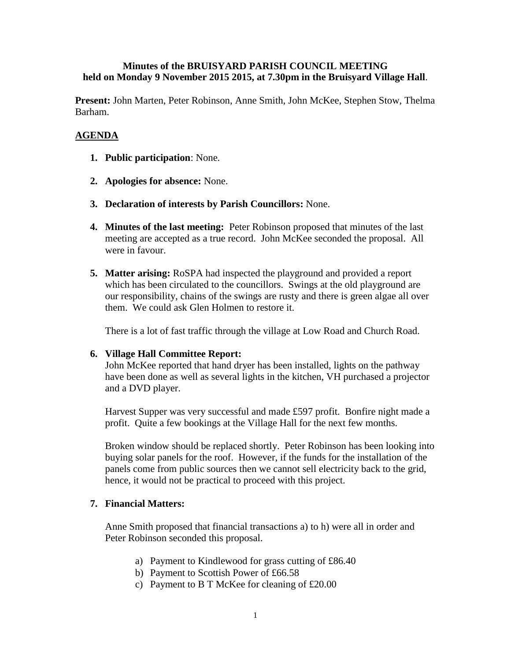## **Minutes of the BRUISYARD PARISH COUNCIL MEETING held on Monday 9 November 2015 2015, at 7.30pm in the Bruisyard Village Hall**.

**Present:** John Marten, Peter Robinson, Anne Smith, John McKee, Stephen Stow, Thelma Barham.

# **AGENDA**

- **1. Public participation**: None.
- **2. Apologies for absence:** None.
- **3. Declaration of interests by Parish Councillors:** None.
- **4. Minutes of the last meeting:** Peter Robinson proposed that minutes of the last meeting are accepted as a true record. John McKee seconded the proposal. All were in favour.
- **5. Matter arising:** RoSPA had inspected the playground and provided a report which has been circulated to the councillors. Swings at the old playground are our responsibility, chains of the swings are rusty and there is green algae all over them. We could ask Glen Holmen to restore it.

There is a lot of fast traffic through the village at Low Road and Church Road.

#### **6. Village Hall Committee Report:**

John McKee reported that hand dryer has been installed, lights on the pathway have been done as well as several lights in the kitchen, VH purchased a projector and a DVD player.

Harvest Supper was very successful and made £597 profit. Bonfire night made a profit. Quite a few bookings at the Village Hall for the next few months.

Broken window should be replaced shortly. Peter Robinson has been looking into buying solar panels for the roof. However, if the funds for the installation of the panels come from public sources then we cannot sell electricity back to the grid, hence, it would not be practical to proceed with this project.

#### **7. Financial Matters:**

Anne Smith proposed that financial transactions a) to h) were all in order and Peter Robinson seconded this proposal.

- a) Payment to Kindlewood for grass cutting of £86.40
- b) Payment to Scottish Power of £66.58
- c) Payment to B T McKee for cleaning of £20.00